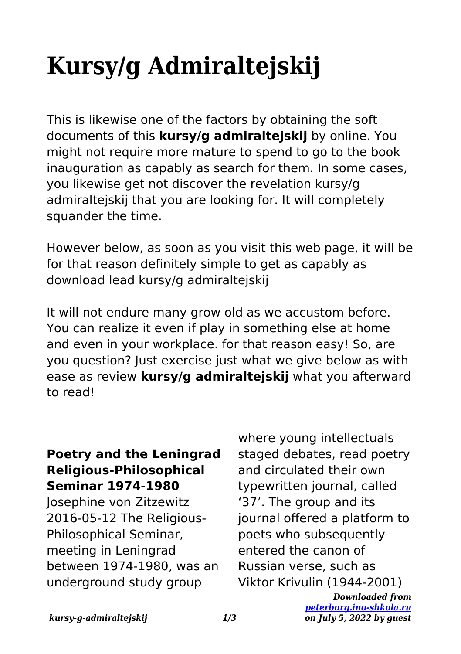## **Kursy/g Admiraltejskij**

This is likewise one of the factors by obtaining the soft documents of this **kursy/g admiraltejskij** by online. You might not require more mature to spend to go to the book inauguration as capably as search for them. In some cases, you likewise get not discover the revelation kursy/g admiraltejskij that you are looking for. It will completely squander the time.

However below, as soon as you visit this web page, it will be for that reason definitely simple to get as capably as download lead kursy/g admiraltejskij

It will not endure many grow old as we accustom before. You can realize it even if play in something else at home and even in your workplace. for that reason easy! So, are you question? Just exercise just what we give below as with ease as review **kursy/g admiraltejskij** what you afterward to read!

## **Poetry and the Leningrad Religious-Philosophical Seminar 1974-1980**

Josephine von Zitzewitz 2016-05-12 The Religious-Philosophical Seminar, meeting in Leningrad between 1974-1980, was an underground study group

where young intellectuals staged debates, read poetry and circulated their own typewritten journal, called '37'. The group and its journal offered a platform to poets who subsequently entered the canon of Russian verse, such as Viktor Krivulin (1944-2001)

> *Downloaded from [peterburg.ino-shkola.ru](http://peterburg.ino-shkola.ru) on July 5, 2022 by guest*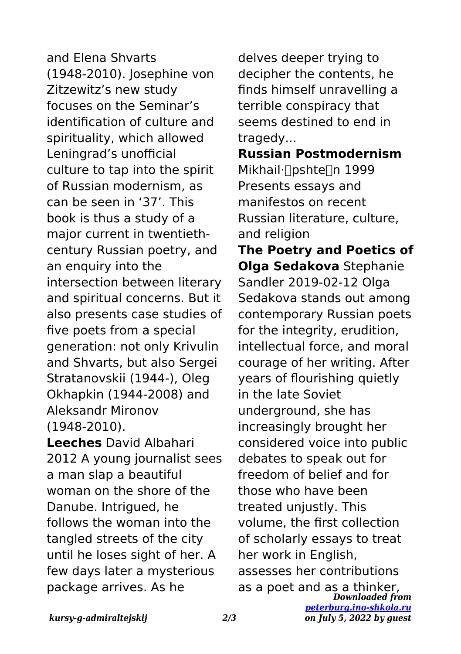and Elena Shvarts (1948-2010). Josephine von Zitzewitz's new study focuses on the Seminar's identification of culture and spirituality, which allowed Leningrad's unofficial culture to tap into the spirit of Russian modernism, as can be seen in '37'. This book is thus a study of a major current in twentiethcentury Russian poetry, and an enquiry into the intersection between literary and spiritual concerns. But it also presents case studies of five poets from a special generation: not only Krivulin and Shvarts, but also Sergei Stratanovskii (1944-), Oleg Okhapkin (1944-2008) and Aleksandr Mironov (1948-2010).

**Leeches** David Albahari 2012 A young journalist sees a man slap a beautiful woman on the shore of the Danube. Intrigued, he follows the woman into the tangled streets of the city until he loses sight of her. A few days later a mysterious package arrives. As he

delves deeper trying to decipher the contents, he finds himself unravelling a terrible conspiracy that seems destined to end in tragedy...

**Russian Postmodernism** Mikhail·<sub>∏</sub>pshte∏n 1999 Presents essays and manifestos on recent Russian literature, culture, and religion

*Downloaded from [peterburg.ino-shkola.ru](http://peterburg.ino-shkola.ru)* **The Poetry and Poetics of Olga Sedakova** Stephanie Sandler 2019-02-12 Olga Sedakova stands out among contemporary Russian poets for the integrity, erudition, intellectual force, and moral courage of her writing. After years of flourishing quietly in the late Soviet underground, she has increasingly brought her considered voice into public debates to speak out for freedom of belief and for those who have been treated unjustly. This volume, the first collection of scholarly essays to treat her work in English, assesses her contributions as a poet and as a thinker,

*on July 5, 2022 by guest*

*kursy-g-admiraltejskij 2/3*